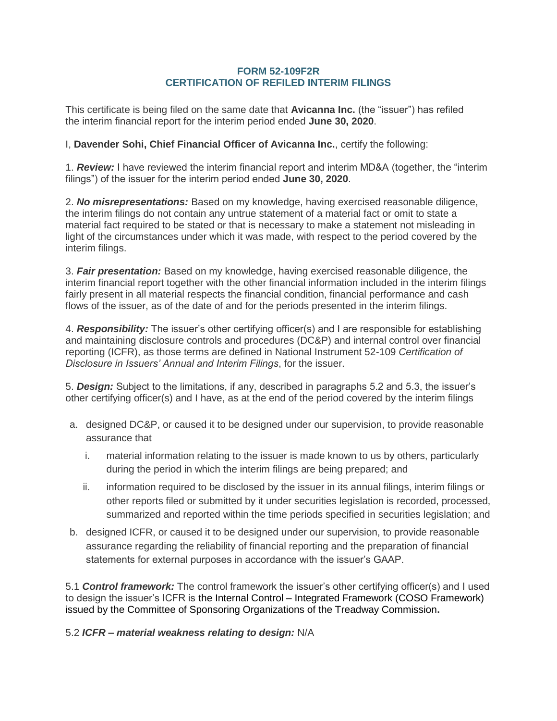## **FORM 52-109F2R CERTIFICATION OF REFILED INTERIM FILINGS**

This certificate is being filed on the same date that **Avicanna Inc.** (the "issuer") has refiled the interim financial report for the interim period ended **June 30, 2020**.

## I, **Davender Sohi, Chief Financial Officer of Avicanna Inc.**, certify the following:

1. *Review:* I have reviewed the interim financial report and interim MD&A (together, the "interim filings") of the issuer for the interim period ended **June 30, 2020**.

2. *No misrepresentations:* Based on my knowledge, having exercised reasonable diligence, the interim filings do not contain any untrue statement of a material fact or omit to state a material fact required to be stated or that is necessary to make a statement not misleading in light of the circumstances under which it was made, with respect to the period covered by the interim filings.

3. *Fair presentation:* Based on my knowledge, having exercised reasonable diligence, the interim financial report together with the other financial information included in the interim filings fairly present in all material respects the financial condition, financial performance and cash flows of the issuer, as of the date of and for the periods presented in the interim filings.

4. *Responsibility:* The issuer's other certifying officer(s) and I are responsible for establishing and maintaining disclosure controls and procedures (DC&P) and internal control over financial reporting (ICFR), as those terms are defined in National Instrument 52-109 *Certification of Disclosure in Issuers' Annual and Interim Filings*, for the issuer.

5. *Design:* Subject to the limitations, if any, described in paragraphs 5.2 and 5.3, the issuer's other certifying officer(s) and I have, as at the end of the period covered by the interim filings

- a. designed DC&P, or caused it to be designed under our supervision, to provide reasonable assurance that
	- i. material information relating to the issuer is made known to us by others, particularly during the period in which the interim filings are being prepared; and
	- ii. information required to be disclosed by the issuer in its annual filings, interim filings or other reports filed or submitted by it under securities legislation is recorded, processed, summarized and reported within the time periods specified in securities legislation; and
- b. designed ICFR, or caused it to be designed under our supervision, to provide reasonable assurance regarding the reliability of financial reporting and the preparation of financial statements for external purposes in accordance with the issuer's GAAP.

5.1 *Control framework:* The control framework the issuer's other certifying officer(s) and I used to design the issuer's ICFR is the Internal Control – Integrated Framework (COSO Framework) issued by the Committee of Sponsoring Organizations of the Treadway Commission**.**

5.2 *ICFR – material weakness relating to design:* N/A